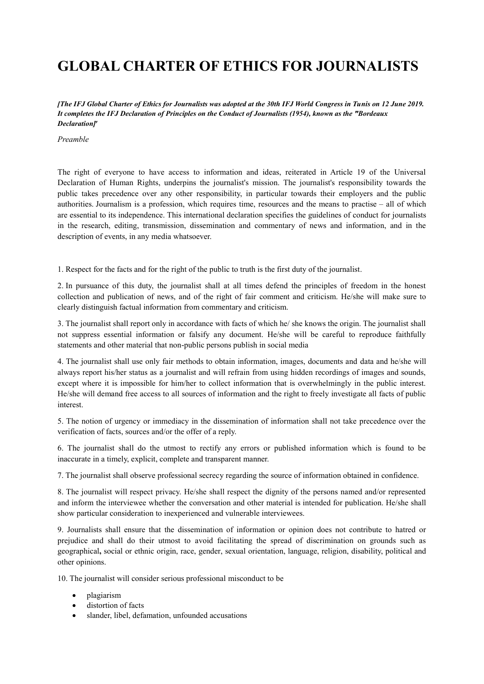## **GLOBAL CHARTER OF ETHICS FOR JOURNALISTS**

*[The IFJ Global Charter of Ethics for Journalists was adopted at the 30th IFJ World Congress in Tunis on 12 June 2019. It completes the IFJ Declaration of Principles on the Conduct of Journalists (1954), known as the ""Bordeaux Declaration"]*

*Preamble*

The right of everyone to have access to information and ideas, reiterated in Article 19 of the Universal Declaration of Human Rights, underpins the journalist's mission. The journalist's responsibility towards the public takes precedence over any other responsibility, in particular towards their employers and the public authorities. Journalism is a profession, which requires time, resources and the means to practise – all of which are essential to its independence. This international declaration specifies the guidelines of conduct for journalists in the research, editing, transmission, dissemination and commentary of news and information, and in the description of events, in any media whatsoever.

1. Respect for the facts and for the right of the public to truth is the first duty of the journalist.

2. In pursuance of this duty, the journalist shall at all times defend the principles of freedom in the honest collection and publication of news, and of the right of fair comment and criticism. He/she will make sure to clearly distinguish factual information from commentary and criticism.

3. The journalist shall report only in accordance with facts of which he/ she knows the origin. The journalist shall not suppress essential information or falsify any document. He/she will be careful to reproduce faithfully statements and other material that non-public persons publish in social media

4. The journalist shall use only fair methods to obtain information, images, documents and data and he/she will always report his/her status as a journalist and will refrain from using hidden recordings of images and sounds, except where it is impossible for him/her to collect information that is overwhelmingly in the public interest. He/she will demand free access to all sources of information and the right to freely investigate all facts of public interest.

5. The notion of urgency or immediacy in the dissemination of information shall not take precedence over the verification of facts, sources and/or the offer of a reply.

6. The journalist shall do the utmost to rectify any errors or published information which is found to be inaccurate in a timely, explicit, complete and transparent manner.

7. The journalist shall observe professional secrecy regarding the source of information obtained in confidence.

8. The journalist will respect privacy. He/she shall respect the dignity of the persons named and/or represented and inform the interviewee whether the conversation and other material is intended for publication. He/she shall show particular consideration to inexperienced and vulnerable interviewees.

9. Journalists shall ensure that the dissemination of information or opinion does not contribute to hatred or prejudice and shall do their utmost to avoid facilitating the spread of discrimination on grounds such as geographical**,** social or ethnic origin, race, gender, sexual orientation, language, religion, disability, political and other opinions.

10. The journalist will consider serious professional misconduct to be

- plagiarism
- distortion of facts
- slander, libel, defamation, unfounded accusations